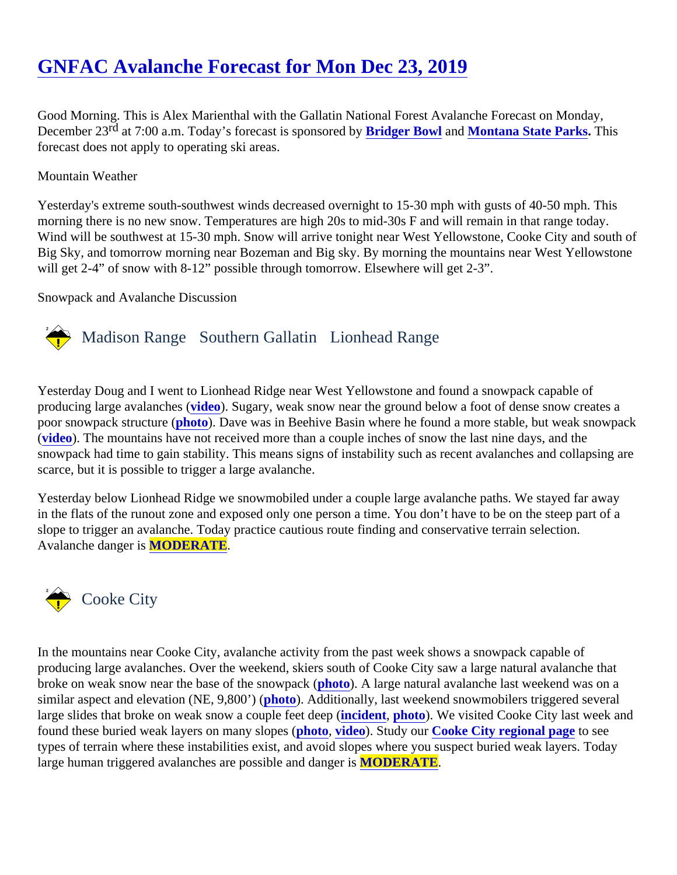# [GNFAC Avalanche Forecast for Mon Dec 23, 201](https://www.mtavalanche.com/forecast/19/12/23)9

Good Morning. This is Alex Marienthal with the Gallatin National Forest Avalanche Forecast on Monday, December 2<sup>nd</sup> at 7:00 a.m. Today's forecast is sponsore **B by** ger Bowl an[d Montana State Parks.](http://stateparks.mt.gov/) This forecast does not apply to operating ski areas.

### Mountain Weather

Yesterday's extreme south-southwest winds decreased overnight to 15-30 mph with gusts of 40-50 mph. This morning there is no new snow. Temperatures are high 20s to mid-30s F and will remain in that range today. Wind will be southwest at 15-30 mph. Snow will arrive tonight near West Yellowstone, Cooke City and south of Big Sky, and tomorrow morning near Bozeman and Big sky. By morning the mountains near West Yellowstor will get 2-4" of snow with 8-12" possible through tomorrow. Elsewhere will get 2-3".

### Snowpack and Avalanche Discussion

## Madison Range Southern Gallatin Lionhead Range

Yesterday Doug and I went to Lionhead Ridge near West Yellowstone and found a snowpack capable of producing large avalanches (eo). Sugary, weak snow near the ground below a foot of dense snow creates a poor snowpack structure (oto). Dave was in Beehive Basin where he found a more stable, but weak snowpac [\(video](https://www.youtube.com/watch?v=LY8WFaaPJbw)). The mountains have not received more than a couple inches of snow the last nine days, and the snowpack had time to gain stability. This means signs of instability such as recent avalanches and collapsing scarce, but it is possible to trigger a large avalanche.

Yesterday below Lionhead Ridge we snowmobiled under a couple large avalanche paths. We stayed far away in the flats of the runout zone and exposed only one person a time. You don't have to be on the steep part of slope to trigger an avalanche. Today practice cautious route finding and conservative terrain selection. Avalanche danger **MODERATE**.

### Cooke City

In the mountains near Cooke City, avalanche activity from the past week shows a snowpack capable of producing large avalanches. Over the weekend, skiers south of Cooke City saw a large natural avalanche that broke on weak snow near the base of the snowparck  $\phi$ . A large natural avalanche last weekend was on a similar aspect and elevation (NE, 9,800) (b). Additionally, last weekend snowmobilers triggered several large slides that broke on weak snow a couple feet deepd (nt, [photo\)](https://www.mtavalanche.com/images/19/avalanche-crown-butte). We visited Cooke City last week and found these buried weak layers on many slopboto, [video\)](https://www.youtube.com/watch?v=MOUWPWg2J4A&list=PLXu5151nmAvSbcbVfoR785MxkqkNVy8Pp&index=4&t=0s). Study ou[r Cooke City regional page](https://www.mtavalanche.com/forecast/cooke-city)to see types of terrain where these instabilities exist, and avoid slopes where you suspect buried weak layers. Today large human triggered avalanches are possible and dam ODERATE.